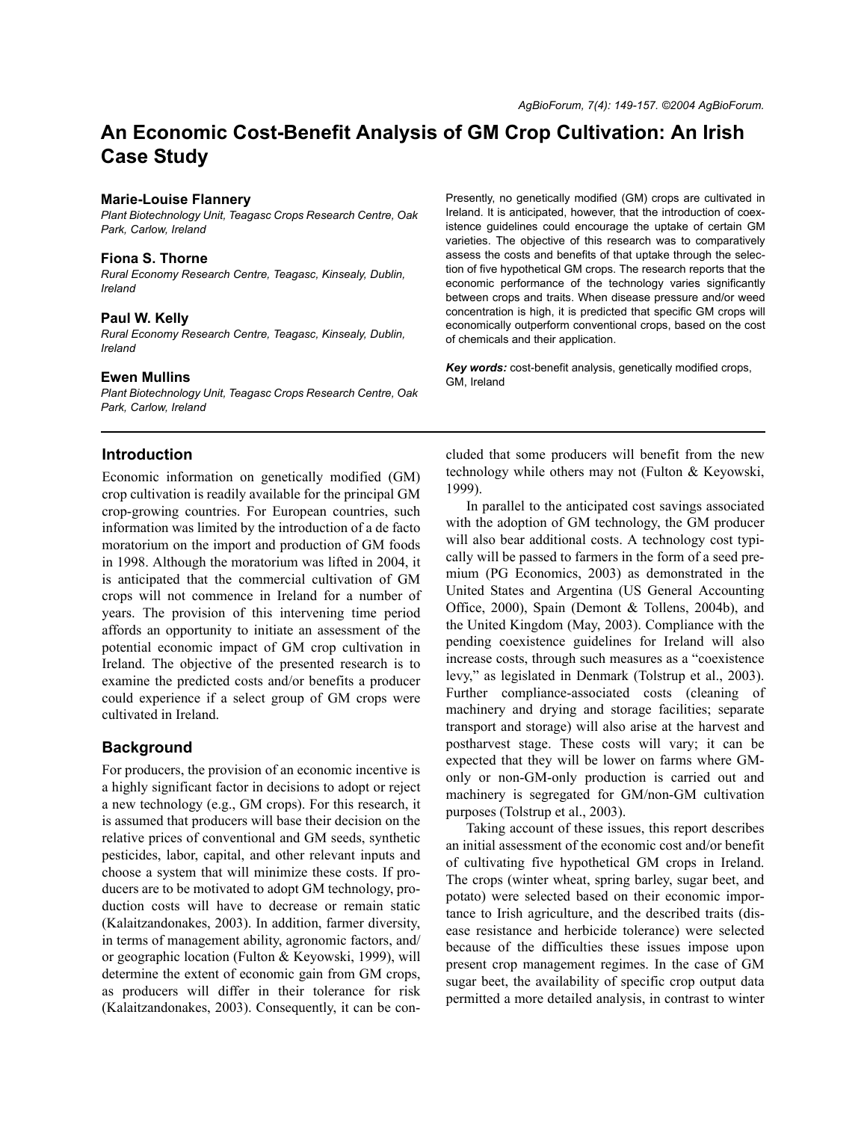# **An Economic Cost-Benefit Analysis of GM Crop Cultivation: An Irish Case Study**

## **Marie-Louise Flannery**

*Plant Biotechnology Unit, Teagasc Crops Research Centre, Oak Park, Carlow, Ireland*

#### **Fiona S. Thorne**

*Rural Economy Research Centre, Teagasc, Kinsealy, Dublin, Ireland*

#### **Paul W. Kelly**

*Rural Economy Research Centre, Teagasc, Kinsealy, Dublin, Ireland*

#### **Ewen Mullins**

*Plant Biotechnology Unit, Teagasc Crops Research Centre, Oak Park, Carlow, Ireland*

## **Introduction**

Economic information on genetically modified (GM) crop cultivation is readily available for the principal GM crop-growing countries. For European countries, such information was limited by the introduction of a de facto moratorium on the import and production of GM foods in 1998. Although the moratorium was lifted in 2004, it is anticipated that the commercial cultivation of GM crops will not commence in Ireland for a number of years. The provision of this intervening time period affords an opportunity to initiate an assessment of the potential economic impact of GM crop cultivation in Ireland. The objective of the presented research is to examine the predicted costs and/or benefits a producer could experience if a select group of GM crops were cultivated in Ireland.

## **Background**

For producers, the provision of an economic incentive is a highly significant factor in decisions to adopt or reject a new technology (e.g., GM crops). For this research, it is assumed that producers will base their decision on the relative prices of conventional and GM seeds, synthetic pesticides, labor, capital, and other relevant inputs and choose a system that will minimize these costs. If producers are to be motivated to adopt GM technology, production costs will have to decrease or remain static (Kalaitzandonakes, 2003). In addition, farmer diversity, in terms of management ability, agronomic factors, and/ or geographic location (Fulton & Keyowski, 1999), will determine the extent of economic gain from GM crops, as producers will differ in their tolerance for risk (Kalaitzandonakes, 2003). Consequently, it can be conPresently, no genetically modified (GM) crops are cultivated in Ireland. It is anticipated, however, that the introduction of coexistence guidelines could encourage the uptake of certain GM varieties. The objective of this research was to comparatively assess the costs and benefits of that uptake through the selection of five hypothetical GM crops. The research reports that the economic performance of the technology varies significantly between crops and traits. When disease pressure and/or weed concentration is high, it is predicted that specific GM crops will economically outperform conventional crops, based on the cost of chemicals and their application.

*Key words:* cost-benefit analysis, genetically modified crops, GM, Ireland

cluded that some producers will benefit from the new technology while others may not (Fulton & Keyowski, 1999).

In parallel to the anticipated cost savings associated with the adoption of GM technology, the GM producer will also bear additional costs. A technology cost typically will be passed to farmers in the form of a seed premium (PG Economics, 2003) as demonstrated in the United States and Argentina (US General Accounting Office, 2000), Spain (Demont & Tollens, 2004b), and the United Kingdom (May, 2003). Compliance with the pending coexistence guidelines for Ireland will also increase costs, through such measures as a "coexistence levy," as legislated in Denmark (Tolstrup et al., 2003). Further compliance-associated costs (cleaning of machinery and drying and storage facilities; separate transport and storage) will also arise at the harvest and postharvest stage. These costs will vary; it can be expected that they will be lower on farms where GMonly or non-GM-only production is carried out and machinery is segregated for GM/non-GM cultivation purposes (Tolstrup et al., 2003).

Taking account of these issues, this report describes an initial assessment of the economic cost and/or benefit of cultivating five hypothetical GM crops in Ireland. The crops (winter wheat, spring barley, sugar beet, and potato) were selected based on their economic importance to Irish agriculture, and the described traits (disease resistance and herbicide tolerance) were selected because of the difficulties these issues impose upon present crop management regimes. In the case of GM sugar beet, the availability of specific crop output data permitted a more detailed analysis, in contrast to winter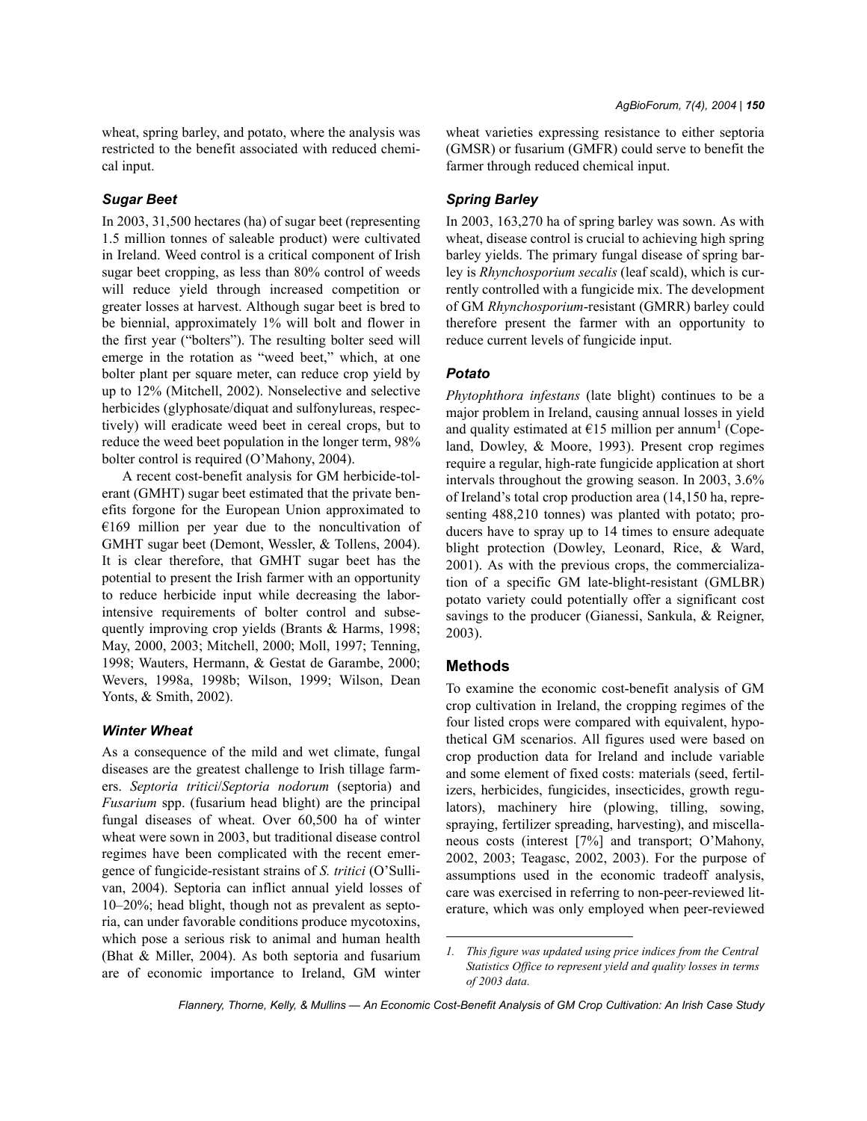wheat, spring barley, and potato, where the analysis was restricted to the benefit associated with reduced chemical input.

## *Sugar Beet*

In 2003, 31,500 hectares (ha) of sugar beet (representing 1.5 million tonnes of saleable product) were cultivated in Ireland. Weed control is a critical component of Irish sugar beet cropping, as less than 80% control of weeds will reduce yield through increased competition or greater losses at harvest. Although sugar beet is bred to be biennial, approximately 1% will bolt and flower in the first year ("bolters"). The resulting bolter seed will emerge in the rotation as "weed beet," which, at one bolter plant per square meter, can reduce crop yield by up to 12% (Mitchell, 2002). Nonselective and selective herbicides (glyphosate/diquat and sulfonylureas, respectively) will eradicate weed beet in cereal crops, but to reduce the weed beet population in the longer term, 98% bolter control is required (O'Mahony, 2004).

A recent cost-benefit analysis for GM herbicide-tolerant (GMHT) sugar beet estimated that the private benefits forgone for the European Union approximated to €169 million per year due to the noncultivation of GMHT sugar beet (Demont, Wessler, & Tollens, 2004). It is clear therefore, that GMHT sugar beet has the potential to present the Irish farmer with an opportunity to reduce herbicide input while decreasing the laborintensive requirements of bolter control and subsequently improving crop yields (Brants & Harms, 1998; May, 2000, 2003; Mitchell, 2000; Moll, 1997; Tenning, 1998; Wauters, Hermann, & Gestat de Garambe, 2000; Wevers, 1998a, 1998b; Wilson, 1999; Wilson, Dean Yonts, & Smith, 2002).

#### *Winter Wheat*

As a consequence of the mild and wet climate, fungal diseases are the greatest challenge to Irish tillage farmers. *Septoria tritici*/*Septoria nodorum* (septoria) and *Fusarium* spp. (fusarium head blight) are the principal fungal diseases of wheat. Over 60,500 ha of winter wheat were sown in 2003, but traditional disease control regimes have been complicated with the recent emergence of fungicide-resistant strains of *S. tritici* (O'Sullivan, 2004). Septoria can inflict annual yield losses of 10–20%; head blight, though not as prevalent as septoria, can under favorable conditions produce mycotoxins, which pose a serious risk to animal and human health (Bhat & Miller, 2004). As both septoria and fusarium are of economic importance to Ireland, GM winter wheat varieties expressing resistance to either septoria (GMSR) or fusarium (GMFR) could serve to benefit the farmer through reduced chemical input.

## *Spring Barley*

In 2003, 163,270 ha of spring barley was sown. As with wheat, disease control is crucial to achieving high spring barley yields. The primary fungal disease of spring barley is *Rhynchosporium secalis* (leaf scald), which is currently controlled with a fungicide mix. The development of GM *Rhynchosporium*-resistant (GMRR) barley could therefore present the farmer with an opportunity to reduce current levels of fungicide input.

# *Potato*

*Phytophthora infestans* (late blight) continues to be a major problem in Ireland, causing annual losses in yield and quality estimated at  $E15$  million per annum<sup>1</sup> (Copeland, Dowley, & Moore, 1993). Present crop regimes require a regular, high-rate fungicide application at short intervals throughout the growing season. In 2003, 3.6% of Ireland's total crop production area (14,150 ha, representing 488,210 tonnes) was planted with potato; producers have to spray up to 14 times to ensure adequate blight protection (Dowley, Leonard, Rice, & Ward, 2001). As with the previous crops, the commercialization of a specific GM late-blight-resistant (GMLBR) potato variety could potentially offer a significant cost savings to the producer (Gianessi, Sankula, & Reigner, 2003).

### **Methods**

To examine the economic cost-benefit analysis of GM crop cultivation in Ireland, the cropping regimes of the four listed crops were compared with equivalent, hypothetical GM scenarios. All figures used were based on crop production data for Ireland and include variable and some element of fixed costs: materials (seed, fertilizers, herbicides, fungicides, insecticides, growth regulators), machinery hire (plowing, tilling, sowing, spraying, fertilizer spreading, harvesting), and miscellaneous costs (interest [7%] and transport; O'Mahony, 2002, 2003; Teagasc, 2002, 2003). For the purpose of assumptions used in the economic tradeoff analysis, care was exercised in referring to non-peer-reviewed literature, which was only employed when peer-reviewed

*<sup>1.</sup> This figure was updated using price indices from the Central Statistics Office to represent yield and quality losses in terms of 2003 data.*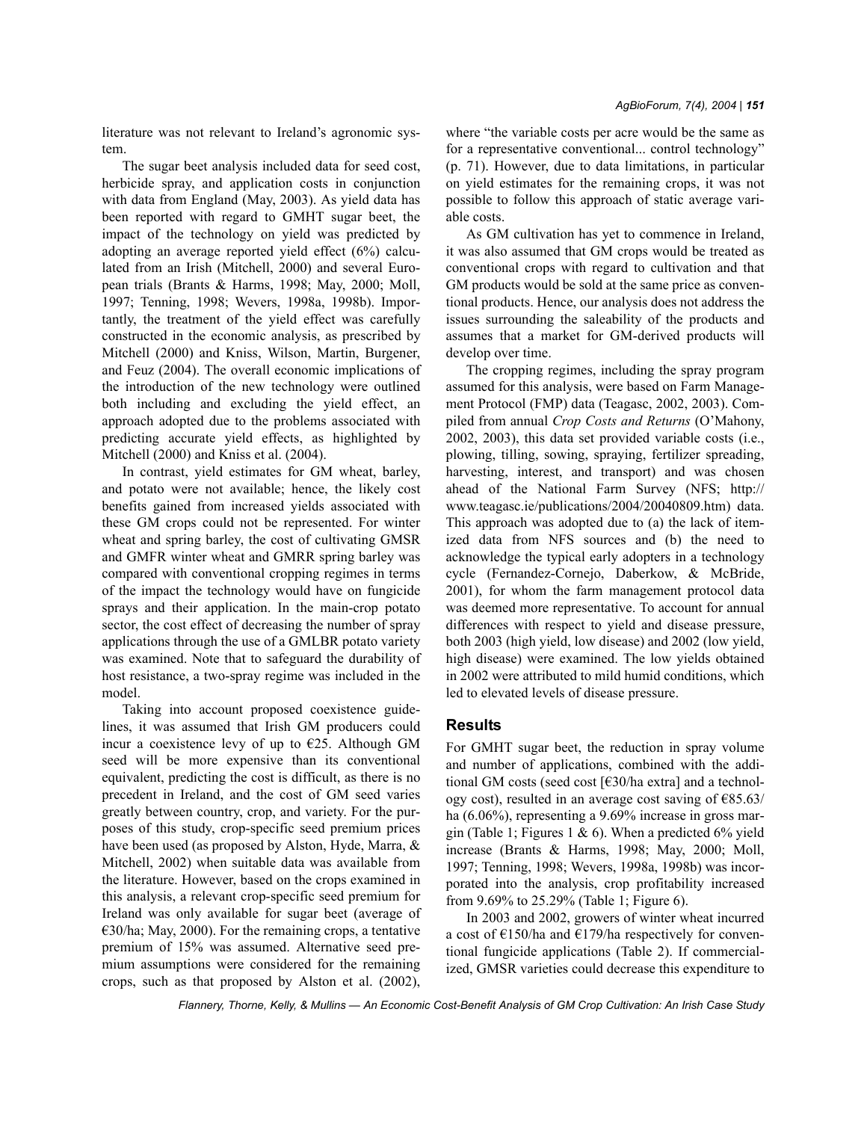The sugar beet analysis included data for seed cost, herbicide spray, and application costs in conjunction with data from England (May, 2003). As yield data has been reported with regard to GMHT sugar beet, the impact of the technology on yield was predicted by adopting an average reported yield effect (6%) calculated from an Irish (Mitchell, 2000) and several European trials (Brants & Harms, 1998; May, 2000; Moll, 1997; Tenning, 1998; Wevers, 1998a, 1998b). Importantly, the treatment of the yield effect was carefully constructed in the economic analysis, as prescribed by Mitchell (2000) and Kniss, Wilson, Martin, Burgener, and Feuz (2004). The overall economic implications of the introduction of the new technology were outlined both including and excluding the yield effect, an approach adopted due to the problems associated with predicting accurate yield effects, as highlighted by Mitchell (2000) and Kniss et al. (2004).

In contrast, yield estimates for GM wheat, barley, and potato were not available; hence, the likely cost benefits gained from increased yields associated with these GM crops could not be represented. For winter wheat and spring barley, the cost of cultivating GMSR and GMFR winter wheat and GMRR spring barley was compared with conventional cropping regimes in terms of the impact the technology would have on fungicide sprays and their application. In the main-crop potato sector, the cost effect of decreasing the number of spray applications through the use of a GMLBR potato variety was examined. Note that to safeguard the durability of host resistance, a two-spray regime was included in the model.

Taking into account proposed coexistence guidelines, it was assumed that Irish GM producers could incur a coexistence levy of up to  $E25$ . Although GM seed will be more expensive than its conventional equivalent, predicting the cost is difficult, as there is no precedent in Ireland, and the cost of GM seed varies greatly between country, crop, and variety. For the purposes of this study, crop-specific seed premium prices have been used (as proposed by Alston, Hyde, Marra, & Mitchell, 2002) when suitable data was available from the literature. However, based on the crops examined in this analysis, a relevant crop-specific seed premium for Ireland was only available for sugar beet (average of €30/ha; May, 2000). For the remaining crops, a tentative premium of 15% was assumed. Alternative seed premium assumptions were considered for the remaining crops, such as that proposed by Alston et al. (2002), where "the variable costs per acre would be the same as for a representative conventional... control technology" (p. 71). However, due to data limitations, in particular on yield estimates for the remaining crops, it was not possible to follow this approach of static average variable costs.

As GM cultivation has yet to commence in Ireland, it was also assumed that GM crops would be treated as conventional crops with regard to cultivation and that GM products would be sold at the same price as conventional products. Hence, our analysis does not address the issues surrounding the saleability of the products and assumes that a market for GM-derived products will develop over time.

The cropping regimes, including the spray program assumed for this analysis, were based on Farm Management Protocol (FMP) data (Teagasc, 2002, 2003). Compiled from annual *Crop Costs and Returns* (O'Mahony, 2002, 2003), this data set provided variable costs (i.e., plowing, tilling, sowing, spraying, fertilizer spreading, harvesting, interest, and transport) and was chosen ahead of the National Farm Survey (NFS; http:// www.teagasc.ie/publications/2004/20040809.htm) data. This approach was adopted due to (a) the lack of itemized data from NFS sources and (b) the need to acknowledge the typical early adopters in a technology cycle (Fernandez-Cornejo, Daberkow, & McBride, 2001), for whom the farm management protocol data was deemed more representative. To account for annual differences with respect to yield and disease pressure, both 2003 (high yield, low disease) and 2002 (low yield, high disease) were examined. The low yields obtained in 2002 were attributed to mild humid conditions, which led to elevated levels of disease pressure.

# **Results**

For GMHT sugar beet, the reduction in spray volume and number of applications, combined with the additional GM costs (seed cost [€30/ha extra] and a technology cost), resulted in an average cost saving of  $\epsilon$ 85.63/ ha (6.06%), representing a 9.69% increase in gross margin (Table 1; Figures 1 & 6). When a predicted  $6\%$  yield increase (Brants & Harms, 1998; May, 2000; Moll, 1997; Tenning, 1998; Wevers, 1998a, 1998b) was incorporated into the analysis, crop profitability increased from 9.69% to 25.29% (Table 1; Figure 6).

In 2003 and 2002, growers of winter wheat incurred a cost of €150/ha and €179/ha respectively for conventional fungicide applications (Table 2). If commercialized, GMSR varieties could decrease this expenditure to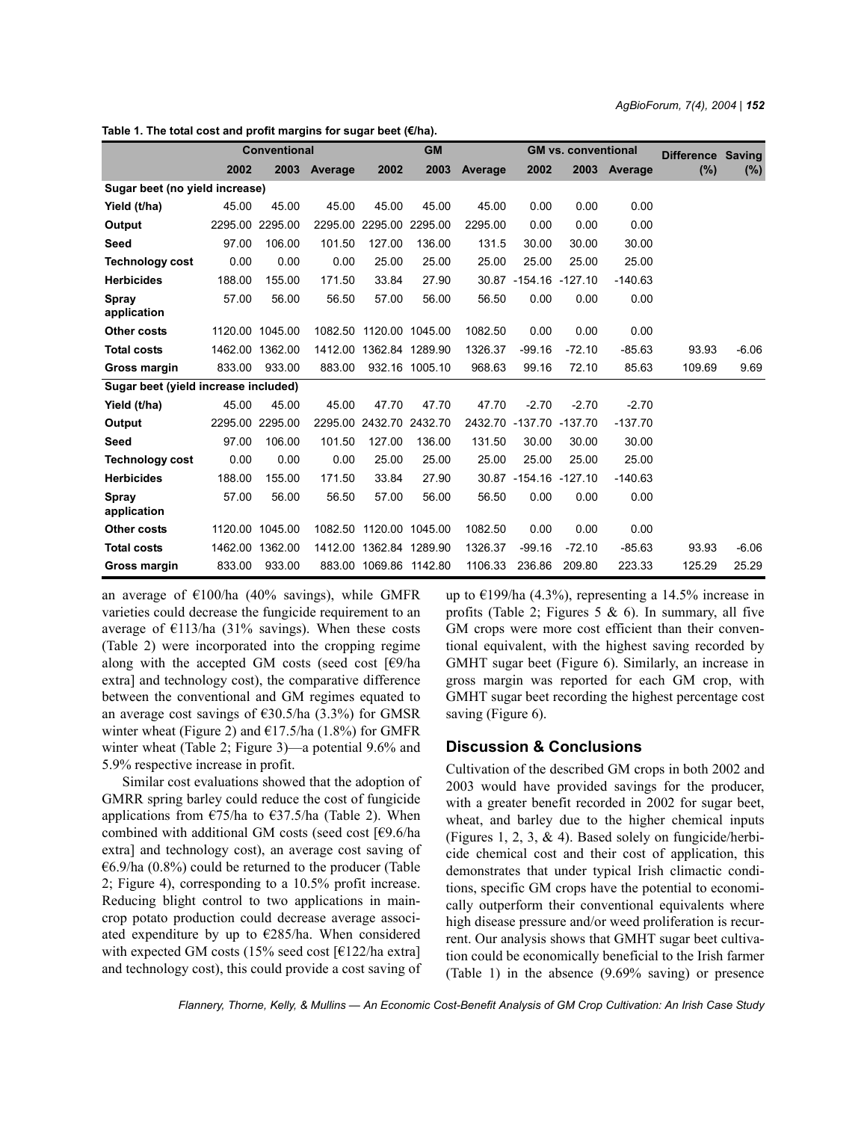|                                      | Conventional |                 |              | <b>GM</b>               |                 |         |                         | <b>GM vs. conventional</b> | Difference Saving |        |         |
|--------------------------------------|--------------|-----------------|--------------|-------------------------|-----------------|---------|-------------------------|----------------------------|-------------------|--------|---------|
|                                      | 2002         |                 | 2003 Average | 2002                    | 2003            | Average | 2002                    |                            | 2003 Average      | $(\%)$ | $(\%)$  |
| Sugar beet (no yield increase)       |              |                 |              |                         |                 |         |                         |                            |                   |        |         |
| Yield (t/ha)                         | 45.00        | 45.00           | 45.00        | 45.00                   | 45.00           | 45.00   | 0.00                    | 0.00                       | 0.00              |        |         |
| Output                               |              | 2295.00 2295.00 | 2295.00      | 2295.00                 | 2295.00         | 2295.00 | 0.00                    | 0.00                       | 0.00              |        |         |
| Seed                                 | 97.00        | 106.00          | 101.50       | 127.00                  | 136.00          | 131.5   | 30.00                   | 30.00                      | 30.00             |        |         |
| <b>Technology cost</b>               | 0.00         | 0.00            | 0.00         | 25.00                   | 25.00           | 25.00   | 25.00                   | 25.00                      | 25.00             |        |         |
| <b>Herbicides</b>                    | 188.00       | 155.00          | 171.50       | 33.84                   | 27.90           |         | 30.87 -154.16 -127.10   |                            | $-140.63$         |        |         |
| Spray                                | 57.00        | 56.00           | 56.50        | 57.00                   | 56.00           | 56.50   | 0.00                    | 0.00                       | 0.00              |        |         |
| application                          |              |                 |              |                         |                 |         |                         |                            |                   |        |         |
| Other costs                          |              | 1120.00 1045.00 |              | 1082.50 1120.00 1045.00 |                 | 1082.50 | 0.00                    | 0.00                       | 0.00              |        |         |
| <b>Total costs</b>                   |              | 1462.00 1362.00 | 1412.00      |                         | 1362.84 1289.90 | 1326.37 | $-99.16$                | $-72.10$                   | $-85.63$          | 93.93  | $-6.06$ |
| Gross margin                         | 833.00       | 933.00          | 883.00       |                         | 932.16 1005.10  | 968.63  | 99.16                   | 72.10                      | 85.63             | 109.69 | 9.69    |
| Sugar beet (yield increase included) |              |                 |              |                         |                 |         |                         |                            |                   |        |         |
| Yield (t/ha)                         | 45.00        | 45.00           | 45.00        | 47.70                   | 47.70           | 47.70   | $-2.70$                 | $-2.70$                    | $-2.70$           |        |         |
| Output                               |              | 2295.00 2295.00 |              | 2295.00 2432.70 2432.70 |                 |         | 2432.70 -137.70 -137.70 |                            | $-137.70$         |        |         |
| Seed                                 | 97.00        | 106.00          | 101.50       | 127.00                  | 136.00          | 131.50  | 30.00                   | 30.00                      | 30.00             |        |         |
| <b>Technology cost</b>               | 0.00         | 0.00            | 0.00         | 25.00                   | 25.00           | 25.00   | 25.00                   | 25.00                      | 25.00             |        |         |
| <b>Herbicides</b>                    | 188.00       | 155.00          | 171.50       | 33.84                   | 27.90           |         | 30.87 -154.16 -127.10   |                            | $-140.63$         |        |         |
| Spray<br>application                 | 57.00        | 56.00           | 56.50        | 57.00                   | 56.00           | 56.50   | 0.00                    | 0.00                       | 0.00              |        |         |
| <b>Other costs</b>                   |              | 1120.00 1045.00 |              | 1082.50 1120.00 1045.00 |                 | 1082.50 | 0.00                    | 0.00                       | 0.00              |        |         |
| <b>Total costs</b>                   |              | 1462.00 1362.00 |              | 1412.00 1362.84 1289.90 |                 | 1326.37 | $-99.16$                | $-72.10$                   | $-85.63$          | 93.93  | $-6.06$ |
| Gross margin                         | 833.00       | 933.00          |              | 883.00 1069.86 1142.80  |                 | 1106.33 | 236.86                  | 209.80                     | 223.33            | 125.29 | 25.29   |

**Table 1. The total cost and profit margins for sugar beet (€/ha).**

an average of  $€100/ha$  (40% savings), while GMFR varieties could decrease the fungicide requirement to an average of  $E113/ha$  (31% savings). When these costs (Table 2) were incorporated into the cropping regime along with the accepted GM costs (seed cost  $\lceil \frac{\epsilon}{9} \rceil$ ha extra] and technology cost), the comparative difference between the conventional and GM regimes equated to an average cost savings of  $\epsilon$ 30.5/ha (3.3%) for GMSR winter wheat (Figure 2) and  $E17.5/ha$  (1.8%) for GMFR winter wheat (Table 2; Figure 3)—a potential 9.6% and 5.9% respective increase in profit.

Similar cost evaluations showed that the adoption of GMRR spring barley could reduce the cost of fungicide applications from  $\epsilon$ 75/ha to  $\epsilon$ 37.5/ha (Table 2). When combined with additional GM costs (seed cost [€9.6/ha extra] and technology cost), an average cost saving of  $66.9/ha$  (0.8%) could be returned to the producer (Table 2; Figure 4), corresponding to a 10.5% profit increase. Reducing blight control to two applications in maincrop potato production could decrease average associated expenditure by up to €285/ha. When considered with expected GM costs (15% seed cost  $[6122/\text{ha extra}]$ and technology cost), this could provide a cost saving of up to  $\epsilon$ 199/ha (4.3%), representing a 14.5% increase in profits (Table 2; Figures 5  $\&$  6). In summary, all five GM crops were more cost efficient than their conventional equivalent, with the highest saving recorded by GMHT sugar beet (Figure 6). Similarly, an increase in gross margin was reported for each GM crop, with GMHT sugar beet recording the highest percentage cost saving (Figure 6).

## **Discussion & Conclusions**

Cultivation of the described GM crops in both 2002 and 2003 would have provided savings for the producer, with a greater benefit recorded in 2002 for sugar beet, wheat, and barley due to the higher chemical inputs (Figures 1, 2, 3, & 4). Based solely on fungicide/herbicide chemical cost and their cost of application, this demonstrates that under typical Irish climactic conditions, specific GM crops have the potential to economically outperform their conventional equivalents where high disease pressure and/or weed proliferation is recurrent. Our analysis shows that GMHT sugar beet cultivation could be economically beneficial to the Irish farmer (Table 1) in the absence (9.69% saving) or presence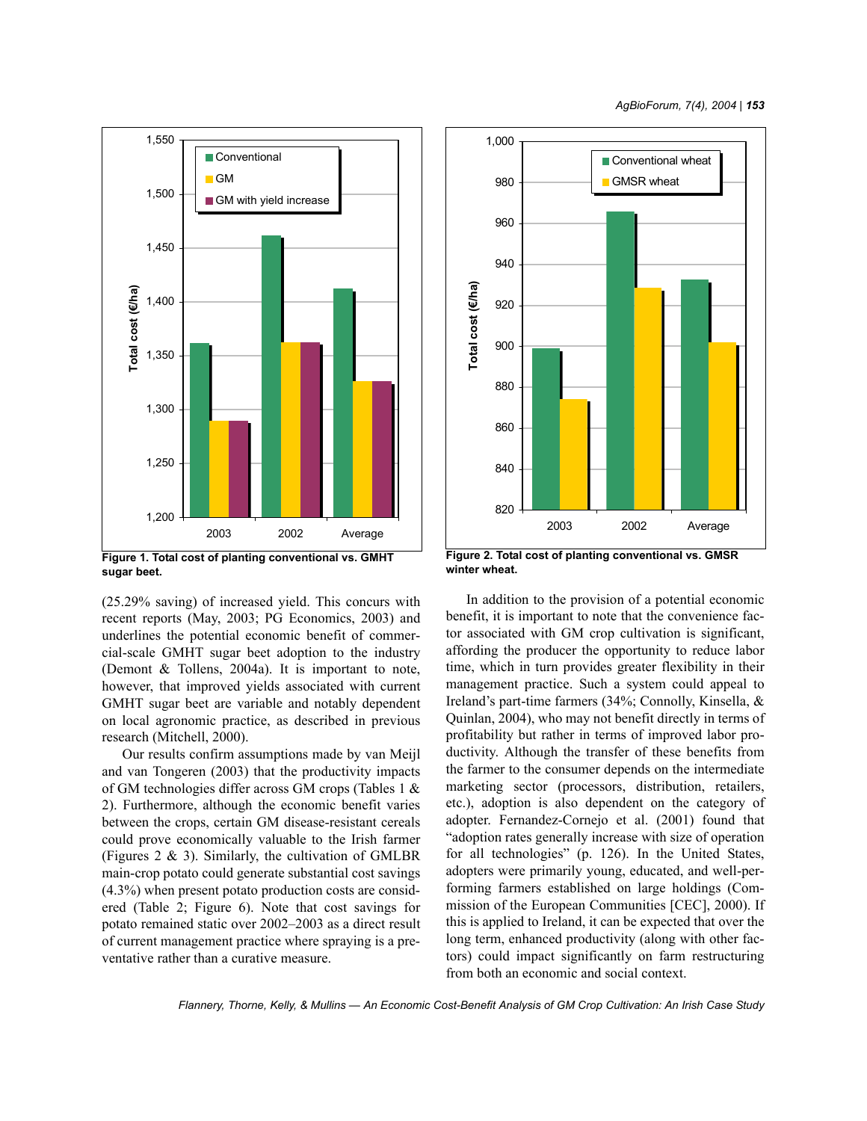

**Figure 1. Total cost of planting conventional vs. GMHT sugar beet.**

(25.29% saving) of increased yield. This concurs with recent reports (May, 2003; PG Economics, 2003) and underlines the potential economic benefit of commercial-scale GMHT sugar beet adoption to the industry (Demont & Tollens, 2004a). It is important to note, however, that improved yields associated with current GMHT sugar beet are variable and notably dependent on local agronomic practice, as described in previous research (Mitchell, 2000).

Our results confirm assumptions made by van Meijl and van Tongeren (2003) that the productivity impacts of GM technologies differ across GM crops (Tables 1 & 2). Furthermore, although the economic benefit varies between the crops, certain GM disease-resistant cereals could prove economically valuable to the Irish farmer (Figures  $2 \& 3$ ). Similarly, the cultivation of GMLBR main-crop potato could generate substantial cost savings (4.3%) when present potato production costs are considered (Table 2; Figure 6). Note that cost savings for potato remained static over 2002–2003 as a direct result of current management practice where spraying is a preventative rather than a curative measure.



**winter wheat.**

In addition to the provision of a potential economic benefit, it is important to note that the convenience factor associated with GM crop cultivation is significant, affording the producer the opportunity to reduce labor time, which in turn provides greater flexibility in their management practice. Such a system could appeal to Ireland's part-time farmers (34%; Connolly, Kinsella, & Quinlan, 2004), who may not benefit directly in terms of profitability but rather in terms of improved labor productivity. Although the transfer of these benefits from the farmer to the consumer depends on the intermediate marketing sector (processors, distribution, retailers, etc.), adoption is also dependent on the category of adopter. Fernandez-Cornejo et al. (2001) found that "adoption rates generally increase with size of operation for all technologies" (p. 126). In the United States, adopters were primarily young, educated, and well-performing farmers established on large holdings (Commission of the European Communities [CEC], 2000). If this is applied to Ireland, it can be expected that over the long term, enhanced productivity (along with other factors) could impact significantly on farm restructuring from both an economic and social context.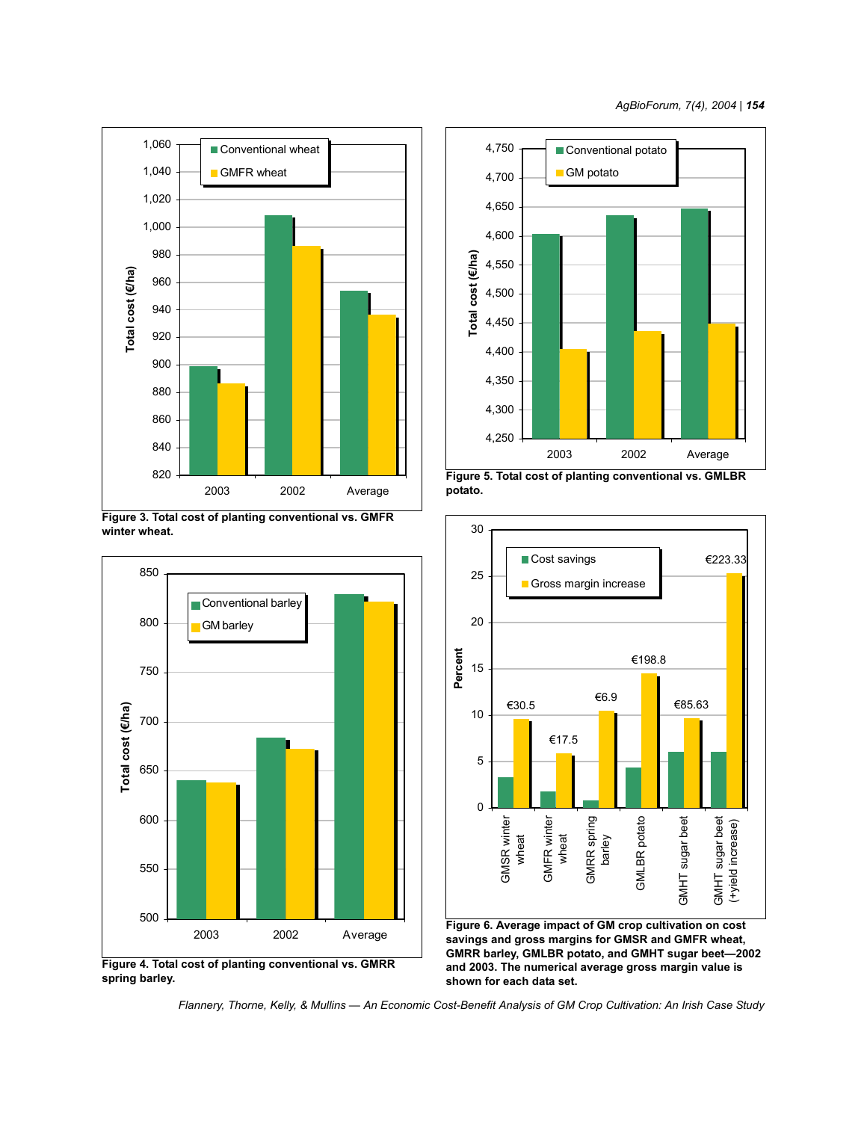

**Figure 3. Total cost of planting conventional vs. GMFR winter wheat.**









**savings and gross margins for GMSR and GMFR wheat, GMRR barley, GMLBR potato, and GMHT sugar beet—2002 and 2003. The numerical average gross margin value is shown for each data set.**

*Flannery, Thorne, Kelly, & Mullins — An Economic Cost-Benefit Analysis of GM Crop Cultivation: An Irish Case Study*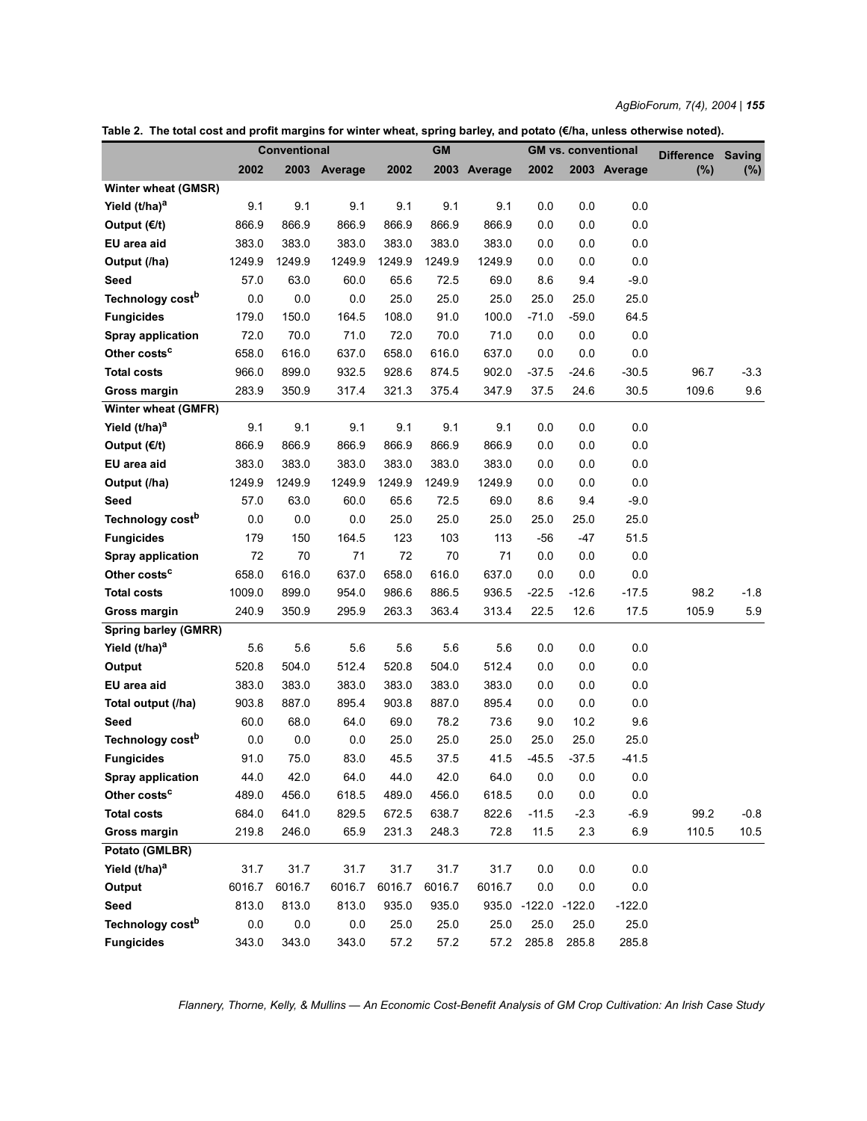*AgBioForum, 7(4), 2004 | 155*

**Table 2. The total cost and profit margins for winter wheat, spring barley, and potato (€/ha, unless otherwise noted).**

|                              | <b>Conventional</b> |         |              | <b>GM</b> |        |              | <b>GM vs. conventional</b> |         |              | <b>Difference</b> | <b>Saving</b> |
|------------------------------|---------------------|---------|--------------|-----------|--------|--------------|----------------------------|---------|--------------|-------------------|---------------|
|                              | 2002                |         | 2003 Average | 2002      |        | 2003 Average | 2002                       |         | 2003 Average | (%)               | $(\% )$       |
| Winter wheat (GMSR)          |                     |         |              |           |        |              |                            |         |              |                   |               |
| Yield (t/ha) <sup>a</sup>    | 9.1                 | 9.1     | 9.1          | 9.1       | 9.1    | 9.1          | 0.0                        | 0.0     | 0.0          |                   |               |
| Output (€/t)                 | 866.9               | 866.9   | 866.9        | 866.9     | 866.9  | 866.9        | 0.0                        | 0.0     | 0.0          |                   |               |
| EU area aid                  | 383.0               | 383.0   | 383.0        | 383.0     | 383.0  | 383.0        | 0.0                        | 0.0     | 0.0          |                   |               |
| Output (/ha)                 | 1249.9              | 1249.9  | 1249.9       | 1249.9    | 1249.9 | 1249.9       | 0.0                        | 0.0     | 0.0          |                   |               |
| Seed                         | 57.0                | 63.0    | 60.0         | 65.6      | 72.5   | 69.0         | 8.6                        | 9.4     | $-9.0$       |                   |               |
| Technology cost <sup>b</sup> | 0.0                 | 0.0     | 0.0          | 25.0      | 25.0   | 25.0         | 25.0                       | 25.0    | 25.0         |                   |               |
| <b>Fungicides</b>            | 179.0               | 150.0   | 164.5        | 108.0     | 91.0   | 100.0        | $-71.0$                    | $-59.0$ | 64.5         |                   |               |
| <b>Spray application</b>     | 72.0                | 70.0    | 71.0         | 72.0      | 70.0   | 71.0         | 0.0                        | 0.0     | 0.0          |                   |               |
| Other costs <sup>c</sup>     | 658.0               | 616.0   | 637.0        | 658.0     | 616.0  | 637.0        | 0.0                        | 0.0     | 0.0          |                   |               |
| <b>Total costs</b>           | 966.0               | 899.0   | 932.5        | 928.6     | 874.5  | 902.0        | $-37.5$                    | $-24.6$ | $-30.5$      | 96.7              | $-3.3$        |
| Gross margin                 | 283.9               | 350.9   | 317.4        | 321.3     | 375.4  | 347.9        | 37.5                       | 24.6    | 30.5         | 109.6             | 9.6           |
| Winter wheat (GMFR)          |                     |         |              |           |        |              |                            |         |              |                   |               |
| Yield (t/ha) <sup>a</sup>    | 9.1                 | 9.1     | 9.1          | 9.1       | 9.1    | 9.1          | 0.0                        | 0.0     | 0.0          |                   |               |
| Output (€/t)                 | 866.9               | 866.9   | 866.9        | 866.9     | 866.9  | 866.9        | 0.0                        | 0.0     | 0.0          |                   |               |
| EU area aid                  | 383.0               | 383.0   | 383.0        | 383.0     | 383.0  | 383.0        | 0.0                        | 0.0     | 0.0          |                   |               |
| Output (/ha)                 | 1249.9              | 1249.9  | 1249.9       | 1249.9    | 1249.9 | 1249.9       | 0.0                        | 0.0     | 0.0          |                   |               |
| Seed                         | 57.0                | 63.0    | 60.0         | 65.6      | 72.5   | 69.0         | 8.6                        | 9.4     | $-9.0$       |                   |               |
| Technology cost <sup>b</sup> | 0.0                 | 0.0     | 0.0          | 25.0      | 25.0   | 25.0         | 25.0                       | 25.0    | 25.0         |                   |               |
| <b>Fungicides</b>            | 179                 | 150     | 164.5        | 123       | 103    | 113          | -56                        | -47     | 51.5         |                   |               |
| <b>Spray application</b>     | 72                  | 70      | 71           | 72        | 70     | 71           | 0.0                        | 0.0     | 0.0          |                   |               |
| Other costs <sup>c</sup>     | 658.0               | 616.0   | 637.0        | 658.0     | 616.0  | 637.0        | 0.0                        | 0.0     | 0.0          |                   |               |
| <b>Total costs</b>           | 1009.0              | 899.0   | 954.0        | 986.6     | 886.5  | 936.5        | $-22.5$                    | $-12.6$ | $-17.5$      | 98.2              | $-1.8$        |
| Gross margin                 | 240.9               | 350.9   | 295.9        | 263.3     | 363.4  | 313.4        | 22.5                       | 12.6    | 17.5         | 105.9             | 5.9           |
| <b>Spring barley (GMRR)</b>  |                     |         |              |           |        |              |                            |         |              |                   |               |
| Yield (t/ha) <sup>a</sup>    | 5.6                 | 5.6     | 5.6          | 5.6       | 5.6    | 5.6          | 0.0                        | 0.0     | 0.0          |                   |               |
| Output                       | 520.8               | 504.0   | 512.4        | 520.8     | 504.0  | 512.4        | 0.0                        | 0.0     | 0.0          |                   |               |
| EU area aid                  | 383.0               | 383.0   | 383.0        | 383.0     | 383.0  | 383.0        | 0.0                        | 0.0     | 0.0          |                   |               |
| Total output (/ha)           | 903.8               | 887.0   | 895.4        | 903.8     | 887.0  | 895.4        | 0.0                        | 0.0     | 0.0          |                   |               |
| Seed                         | 60.0                | 68.0    | 64.0         | 69.0      | 78.2   | 73.6         | 9.0                        | 10.2    | 9.6          |                   |               |
| Technology cost <sup>b</sup> | $0.0\,$             | 0.0     | 0.0          | 25.0      | 25.0   | 25.0         | 25.0                       | 25.0    | 25.0         |                   |               |
| <b>Fungicides</b>            | 91.0                | 75.0    | 83.0         | 45.5      | 37.5   | 41.5         | $-45.5$                    | $-37.5$ | $-41.5$      |                   |               |
| <b>Spray application</b>     | 44.0                | 42.0    | 64.0         | 44.0      | 42.0   | 64.0         | 0.0                        | 0.0     | 0.0          |                   |               |
| Other costs <sup>c</sup>     | 489.0               | 456.0   | 618.5        | 489.0     | 456.0  | 618.5        | $0.0\,$                    | $0.0\,$ | 0.0          |                   |               |
| <b>Total costs</b>           | 684.0               | 641.0   | 829.5        | 672.5     | 638.7  | 822.6        | $-11.5$                    | $-2.3$  | $-6.9$       | 99.2              | $-0.8$        |
| Gross margin                 | 219.8               | 246.0   | 65.9         | 231.3     | 248.3  | 72.8         | 11.5                       | 2.3     | 6.9          | 110.5             | 10.5          |
| Potato (GMLBR)               |                     |         |              |           |        |              |                            |         |              |                   |               |
| Yield (t/ha) <sup>a</sup>    | 31.7                | 31.7    | 31.7         | 31.7      | 31.7   | 31.7         | 0.0                        | 0.0     | 0.0          |                   |               |
| Output                       | 6016.7              | 6016.7  | 6016.7       | 6016.7    | 6016.7 | 6016.7       | 0.0                        | 0.0     | 0.0          |                   |               |
| Seed                         | 813.0               | 813.0   | 813.0        | 935.0     | 935.0  |              | 935.0 -122.0 -122.0        |         | $-122.0$     |                   |               |
| Technology cost <sup>b</sup> | 0.0                 | $0.0\,$ | 0.0          | 25.0      | 25.0   | 25.0         | 25.0                       | 25.0    | 25.0         |                   |               |
| <b>Fungicides</b>            | 343.0               | 343.0   | 343.0        | 57.2      | 57.2   | 57.2         | 285.8                      | 285.8   | 285.8        |                   |               |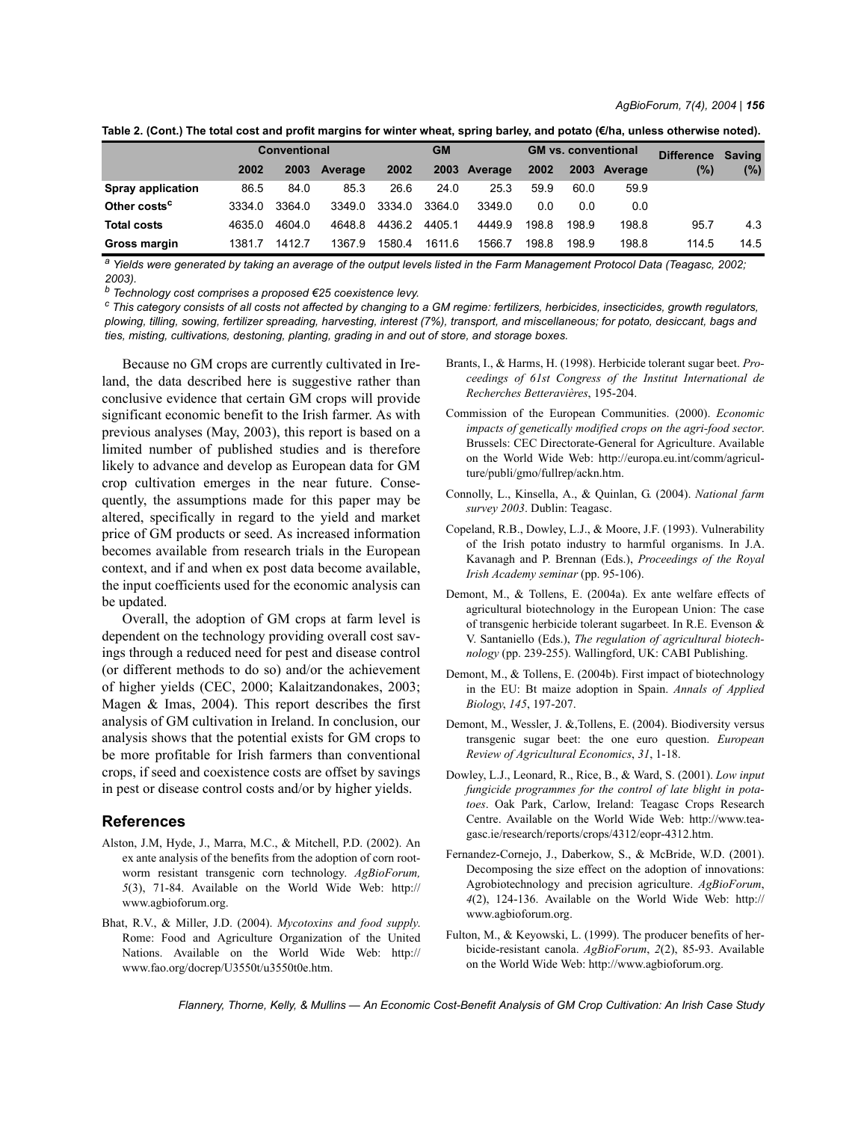| Table 2. (Cont.) The total cost and profit margins for winter wheat, spring barley, and potato (€/ha, unless otherwise noted). |
|--------------------------------------------------------------------------------------------------------------------------------|
|--------------------------------------------------------------------------------------------------------------------------------|

|                          | <b>Conventional</b> |        |         | <b>GM</b> |        |         | <b>GM vs. conventional</b> |       |              | <b>Difference</b> | Saving |
|--------------------------|---------------------|--------|---------|-----------|--------|---------|----------------------------|-------|--------------|-------------------|--------|
|                          | 2002                | 2003   | Average | 2002      | 2003   | Average | 2002                       |       | 2003 Average | (%)               | $(\%)$ |
| Spray application        | 86.5                | 84.0   | 85.3    | 26.6      | 24.0   | 25.3    | 59.9                       | 60.0  | 59.9         |                   |        |
| Other costs <sup>c</sup> | 3334.0              | 3364.0 | 3349.0  | 3334.0    | 3364.0 | 3349.0  | 0.0                        | 0.0   | 0.0          |                   |        |
| <b>Total costs</b>       | 4635.0              | 4604.0 | 4648.8  | 4436.2    | 4405.1 | 4449.9  | 198.8                      | 198.9 | 198.8        | 95.7              | 4.3    |
| Gross margin             | 1381.7              | 1412.7 | 1367.9  | 1580.4    | 1611.6 | 1566.7  | 198.8                      | 198.9 | 198.8        | 114.5             | 14.5   |

*a Yields were generated by taking an average of the output levels listed in the Farm Management Protocol Data (Teagasc, 2002; 2003).*

*b Technology cost comprises a proposed €25 coexistence levy.*

*c This category consists of all costs not affected by changing to a GM regime: fertilizers, herbicides, insecticides, growth regulators, plowing, tilling, sowing, fertilizer spreading, harvesting, interest (7%), transport, and miscellaneous; for potato, desiccant, bags and ties, misting, cultivations, destoning, planting, grading in and out of store, and storage boxes.*

Because no GM crops are currently cultivated in Ireland, the data described here is suggestive rather than conclusive evidence that certain GM crops will provide significant economic benefit to the Irish farmer. As with previous analyses (May, 2003), this report is based on a limited number of published studies and is therefore likely to advance and develop as European data for GM crop cultivation emerges in the near future. Consequently, the assumptions made for this paper may be altered, specifically in regard to the yield and market price of GM products or seed. As increased information becomes available from research trials in the European context, and if and when ex post data become available, the input coefficients used for the economic analysis can be updated.

Overall, the adoption of GM crops at farm level is dependent on the technology providing overall cost savings through a reduced need for pest and disease control (or different methods to do so) and/or the achievement of higher yields (CEC, 2000; Kalaitzandonakes, 2003; Magen & Imas, 2004). This report describes the first analysis of GM cultivation in Ireland. In conclusion, our analysis shows that the potential exists for GM crops to be more profitable for Irish farmers than conventional crops, if seed and coexistence costs are offset by savings in pest or disease control costs and/or by higher yields.

#### **References**

- Alston, J.M, Hyde, J., Marra, M.C., & Mitchell, P.D. (2002). An ex ante analysis of the benefits from the adoption of corn rootworm resistant transgenic corn technology. *AgBioForum, 5*(3), 71-84. Available on the World Wide Web: http:// www.agbioforum.org.
- Bhat, R.V., & Miller, J.D. (2004). *Mycotoxins and food supply*. Rome: Food and Agriculture Organization of the United Nations. Available on the World Wide Web: http:// www.fao.org/docrep/U3550t/u3550t0e.htm.
- Brants, I., & Harms, H. (1998). Herbicide tolerant sugar beet. *Proceedings of 61st Congress of the Institut International de Recherches Betteravières*, 195-204.
- Commission of the European Communities. (2000). *Economic impacts of genetically modified crops on the agri-food sector*. Brussels: CEC Directorate-General for Agriculture. Available on the World Wide Web: http://europa.eu.int/comm/agriculture/publi/gmo/fullrep/ackn.htm.
- Connolly, L., Kinsella, A., & Quinlan, G. (2004). *National farm survey 2003*. Dublin: Teagasc.
- Copeland, R.B., Dowley, L.J., & Moore, J.F. (1993). Vulnerability of the Irish potato industry to harmful organisms. In J.A. Kavanagh and P. Brennan (Eds.), *Proceedings of the Royal Irish Academy seminar* (pp. 95-106).
- Demont, M., & Tollens, E. (2004a). Ex ante welfare effects of agricultural biotechnology in the European Union: The case of transgenic herbicide tolerant sugarbeet. In R.E. Evenson & V. Santaniello (Eds.), *The regulation of agricultural biotechnology* (pp. 239-255). Wallingford, UK: CABI Publishing.
- Demont, M., & Tollens, E. (2004b). First impact of biotechnology in the EU: Bt maize adoption in Spain. *Annals of Applied Biology*, *145*, 197-207.
- Demont, M., Wessler, J. &,Tollens, E. (2004). Biodiversity versus transgenic sugar beet: the one euro question. *European Review of Agricultural Economics*, *31*, 1-18.
- Dowley, L.J., Leonard, R., Rice, B., & Ward, S. (2001). *Low input fungicide programmes for the control of late blight in potatoes*. Oak Park, Carlow, Ireland: Teagasc Crops Research Centre. Available on the World Wide Web: http://www.teagasc.ie/research/reports/crops/4312/eopr-4312.htm.
- Fernandez-Cornejo, J., Daberkow, S., & McBride, W.D. (2001). Decomposing the size effect on the adoption of innovations: Agrobiotechnology and precision agriculture. *AgBioForum*, *4*(2), 124-136. Available on the World Wide Web: http:// www.agbioforum.org.
- Fulton, M., & Keyowski, L. (1999). The producer benefits of herbicide-resistant canola. *AgBioForum*, *2*(2), 85-93. Available on the World Wide Web: http://www.agbioforum.org.